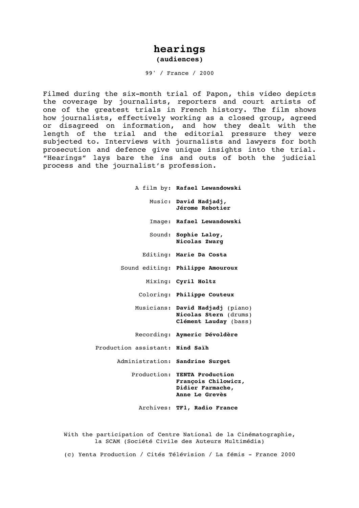## **hearings (audiences)**

99' / France / 2000

Filmed during the six-month trial of Papon, this video depicts the coverage by journalists, reporters and court artists of one of the greatest trials in French history. The film shows how journalists, effectively working as a closed group, agreed or disagreed on information, and how they dealt with the length of the trial and the editorial pressure they were subjected to. Interviews with journalists and lawyers for both prosecution and defence give unique insights into the trial. "Hearings" lays bare the ins and outs of both the judicial process and the journalist's profession.

> A film by: **Rafael Lewandowski** Music: **David Hadjadj, Jérome Rebotier** Image: **Rafael Lewandowski** Sound: **Sophie Laloy, Nicolas Zwarg** Editing: **Marie Da Costa** Sound editing: **Philippe Amouroux** Mixing: **Cyril Holtz** Coloring: **Philippe Couteux** Musicians: **David Hadjadj** (piano) **Nicolas Stern** (drums) **Clément Lauday** (bass) Recording: **Aymeric Dévoldère** Production assistant: **Hind Saïh** Administration: **Sandrine Surget** Production: **YENTA Production François Chilowicz, Didier Farmache, Anne Le Grevès** Archives: **TF1, Radio France**

With the participation of Centre National de la Cinématographie, la SCAM (Société Civile des Auteurs Multimédia)

(c) Yenta Production / Cités Télévision / La fémis - France 2000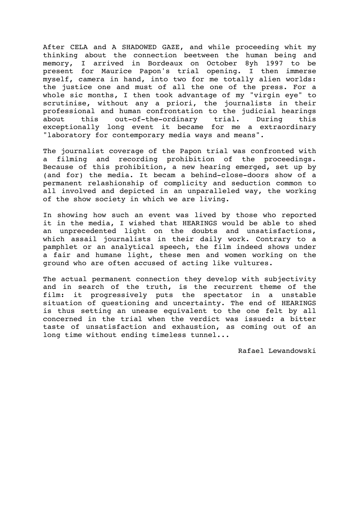After CELA and A SHADOWED GAZE, and while proceeding whit my thinking about the connection beetween the human being and memory, I arrived in Bordeaux on October 8yh 1997 to be present for Maurice Papon's trial opening. I then immerse myself, camera in hand, into two for me totally alien worlds: the justice one and must of all the one of the press. For a whole sic months, I then took advantage of my "virgin eye" to scrutinise, without any a priori, the journalists in their professional and human confrontation to the judicial hearings about this out-of-the-ordinary trial. During this exceptionally long event it became for me a extraordinary "laboratory for contemporary media ways and means".

The journalist coverage of the Papon trial was confronted with a filming and recording prohibition of the proceedings. Because of this prohibition, a new hearing emerged, set up by (and for) the media. It becam a behind-close-doors show of a permanent relashionship of complicity and seduction common to all involved and depicted in an unparalleled way, the working of the show society in which we are living.

In showing how such an event was lived by those who reported it in the media, I wished that HEARINGS would be able to shed an unprecedented light on the doubts and unsatisfactions, which assail journalists in their daily work. Contrary to a pamphlet or an analytical speech, the film indeed shows under a fair and humane light, these men and women working on the ground who are often accused of acting like vultures.

The actual permanent connection they develop with subjectivity and in search of the truth, is the recurrent theme of the film: it progressively puts the spectator in a unstable situation of questioning and uncertainty. The end of HEARINGS is thus setting an unease equivalent to the one felt by all concerned in the trial when the verdict was issued: a bitter taste of unsatisfaction and exhaustion, as coming out of an long time without ending timeless tunnel...

Rafael Lewandowski